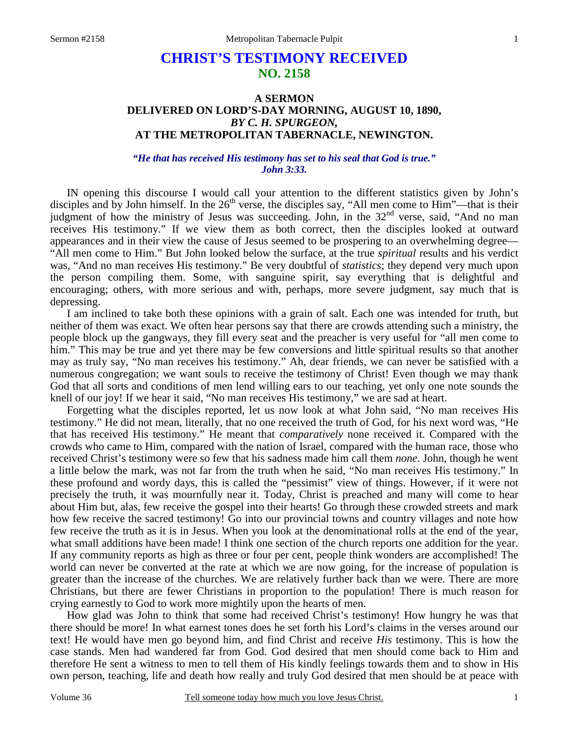# **CHRIST'S TESTIMONY RECEIVED NO. 2158**

## **A SERMON DELIVERED ON LORD'S-DAY MORNING, AUGUST 10, 1890,**  *BY C. H. SPURGEON,*  **AT THE METROPOLITAN TABERNACLE, NEWINGTON.**

### *"He that has received His testimony has set to his seal that God is true." John 3:33.*

IN opening this discourse I would call your attention to the different statistics given by John's disciples and by John himself. In the  $26<sup>th</sup>$  verse, the disciples say, "All men come to Him"—that is their judgment of how the ministry of Jesus was succeeding. John, in the 32<sup>nd</sup> verse, said, "And no man receives His testimony." If we view them as both correct, then the disciples looked at outward appearances and in their view the cause of Jesus seemed to be prospering to an overwhelming degree— "All men come to Him." But John looked below the surface, at the true *spiritual* results and his verdict was, "And no man receives His testimony." Be very doubtful of *statistics*; they depend very much upon the person compiling them. Some, with sanguine spirit, say everything that is delightful and encouraging; others, with more serious and with, perhaps, more severe judgment, say much that is depressing.

 I am inclined to take both these opinions with a grain of salt. Each one was intended for truth, but neither of them was exact. We often hear persons say that there are crowds attending such a ministry, the people block up the gangways, they fill every seat and the preacher is very useful for "all men come to him." This may be true and yet there may be few conversions and little spiritual results so that another may as truly say, "No man receives his testimony." Ah, dear friends, we can never be satisfied with a numerous congregation; we want souls to receive the testimony of Christ! Even though we may thank God that all sorts and conditions of men lend willing ears to our teaching, yet only one note sounds the knell of our joy! If we hear it said, "No man receives His testimony," we are sad at heart.

 Forgetting what the disciples reported, let us now look at what John said, "No man receives His testimony." He did not mean, literally, that no one received the truth of God, for his next word was, "He that has received His testimony." He meant that *comparatively* none received it. Compared with the crowds who came to Him, compared with the nation of Israel, compared with the human race, those who received Christ's testimony were so few that his sadness made him call them *none*. John, though he went a little below the mark, was not far from the truth when he said, "No man receives His testimony." In these profound and wordy days, this is called the "pessimist" view of things. However, if it were not precisely the truth, it was mournfully near it. Today, Christ is preached and many will come to hear about Him but, alas, few receive the gospel into their hearts! Go through these crowded streets and mark how few receive the sacred testimony! Go into our provincial towns and country villages and note how few receive the truth as it is in Jesus. When you look at the denominational rolls at the end of the year, what small additions have been made! I think one section of the church reports one addition for the year. If any community reports as high as three or four per cent, people think wonders are accomplished! The world can never be converted at the rate at which we are now going, for the increase of population is greater than the increase of the churches. We are relatively further back than we were. There are more Christians, but there are fewer Christians in proportion to the population! There is much reason for crying earnestly to God to work more mightily upon the hearts of men.

 How glad was John to think that some had received Christ's testimony! How hungry he was that there should be more! In what earnest tones does he set forth his Lord's claims in the verses around our text! He would have men go beyond him, and find Christ and receive *His* testimony. This is how the case stands. Men had wandered far from God. God desired that men should come back to Him and therefore He sent a witness to men to tell them of His kindly feelings towards them and to show in His own person, teaching, life and death how really and truly God desired that men should be at peace with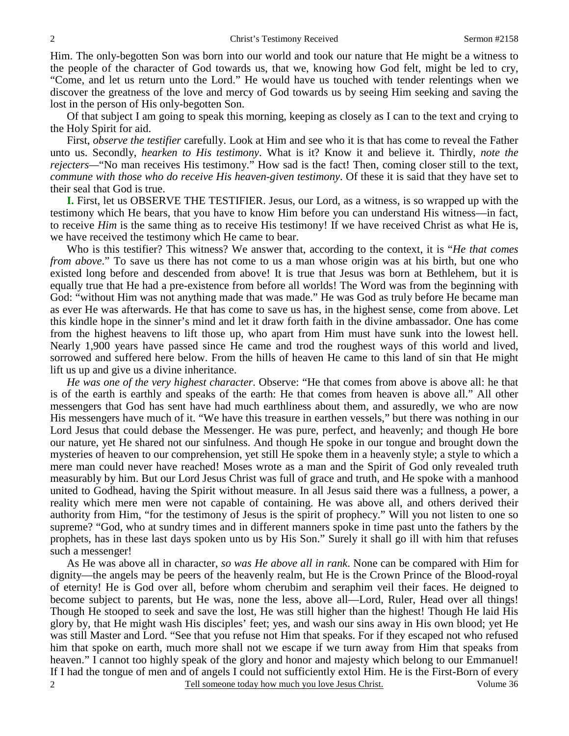Him. The only-begotten Son was born into our world and took our nature that He might be a witness to the people of the character of God towards us, that we, knowing how God felt, might be led to cry, "Come, and let us return unto the Lord." He would have us touched with tender relentings when we discover the greatness of the love and mercy of God towards us by seeing Him seeking and saving the lost in the person of His only-begotten Son.

 Of that subject I am going to speak this morning, keeping as closely as I can to the text and crying to the Holy Spirit for aid.

 First, *observe the testifier* carefully. Look at Him and see who it is that has come to reveal the Father unto us. Secondly, *hearken to His testimony*. What is it? Know it and believe it. Thirdly, *note the rejecters—*"No man receives His testimony." How sad is the fact! Then, coming closer still to the text, *commune with those who do receive His heaven-given testimony*. Of these it is said that they have set to their seal that God is true.

**I.** First, let us OBSERVE THE TESTIFIER. Jesus, our Lord, as a witness, is so wrapped up with the testimony which He bears, that you have to know Him before you can understand His witness—in fact, to receive *Him* is the same thing as to receive His testimony! If we have received Christ as what He is, we have received the testimony which He came to bear.

 Who is this testifier? This witness? We answer that, according to the context, it is "*He that comes from above*." To save us there has not come to us a man whose origin was at his birth, but one who existed long before and descended from above! It is true that Jesus was born at Bethlehem, but it is equally true that He had a pre-existence from before all worlds! The Word was from the beginning with God: "without Him was not anything made that was made." He was God as truly before He became man as ever He was afterwards. He that has come to save us has, in the highest sense, come from above. Let this kindle hope in the sinner's mind and let it draw forth faith in the divine ambassador. One has come from the highest heavens to lift those up, who apart from Him must have sunk into the lowest hell. Nearly 1,900 years have passed since He came and trod the roughest ways of this world and lived, sorrowed and suffered here below. From the hills of heaven He came to this land of sin that He might lift us up and give us a divine inheritance.

*He was one of the very highest character*. Observe: "He that comes from above is above all: he that is of the earth is earthly and speaks of the earth: He that comes from heaven is above all." All other messengers that God has sent have had much earthliness about them, and assuredly, we who are now His messengers have much of it. "We have this treasure in earthen vessels," but there was nothing in our Lord Jesus that could debase the Messenger. He was pure, perfect, and heavenly; and though He bore our nature, yet He shared not our sinfulness. And though He spoke in our tongue and brought down the mysteries of heaven to our comprehension, yet still He spoke them in a heavenly style; a style to which a mere man could never have reached! Moses wrote as a man and the Spirit of God only revealed truth measurably by him. But our Lord Jesus Christ was full of grace and truth, and He spoke with a manhood united to Godhead, having the Spirit without measure. In all Jesus said there was a fullness, a power, a reality which mere men were not capable of containing. He was above all, and others derived their authority from Him, "for the testimony of Jesus is the spirit of prophecy." Will you not listen to one so supreme? "God, who at sundry times and in different manners spoke in time past unto the fathers by the prophets, has in these last days spoken unto us by His Son." Surely it shall go ill with him that refuses such a messenger!

 Tell someone today how much you love Jesus Christ. Volume 36 2 As He was above all in character, *so was He above all in rank*. None can be compared with Him for dignity—the angels may be peers of the heavenly realm, but He is the Crown Prince of the Blood-royal of eternity! He is God over all, before whom cherubim and seraphim veil their faces. He deigned to become subject to parents, but He was, none the less, above all—Lord, Ruler, Head over all things! Though He stooped to seek and save the lost, He was still higher than the highest! Though He laid His glory by, that He might wash His disciples' feet; yes, and wash our sins away in His own blood; yet He was still Master and Lord. "See that you refuse not Him that speaks. For if they escaped not who refused him that spoke on earth, much more shall not we escape if we turn away from Him that speaks from heaven." I cannot too highly speak of the glory and honor and majesty which belong to our Emmanuel! If I had the tongue of men and of angels I could not sufficiently extol Him. He is the First-Born of every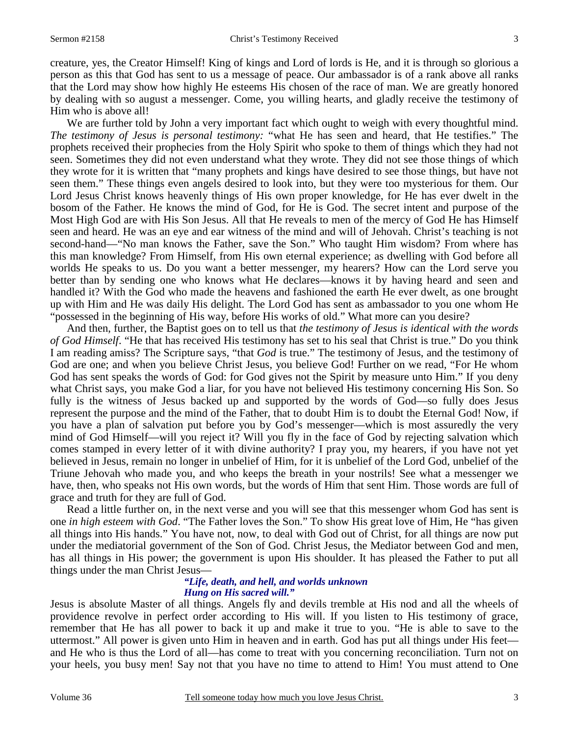creature, yes, the Creator Himself! King of kings and Lord of lords is He, and it is through so glorious a person as this that God has sent to us a message of peace. Our ambassador is of a rank above all ranks that the Lord may show how highly He esteems His chosen of the race of man. We are greatly honored by dealing with so august a messenger. Come, you willing hearts, and gladly receive the testimony of Him who is above all!

We are further told by John a very important fact which ought to weigh with every thoughtful mind. *The testimony of Jesus is personal testimony:* "what He has seen and heard, that He testifies." The prophets received their prophecies from the Holy Spirit who spoke to them of things which they had not seen. Sometimes they did not even understand what they wrote. They did not see those things of which they wrote for it is written that "many prophets and kings have desired to see those things, but have not seen them." These things even angels desired to look into, but they were too mysterious for them. Our Lord Jesus Christ knows heavenly things of His own proper knowledge, for He has ever dwelt in the bosom of the Father. He knows the mind of God, for He is God. The secret intent and purpose of the Most High God are with His Son Jesus. All that He reveals to men of the mercy of God He has Himself seen and heard. He was an eye and ear witness of the mind and will of Jehovah. Christ's teaching is not second-hand—"No man knows the Father, save the Son." Who taught Him wisdom? From where has this man knowledge? From Himself, from His own eternal experience; as dwelling with God before all worlds He speaks to us. Do you want a better messenger, my hearers? How can the Lord serve you better than by sending one who knows what He declares—knows it by having heard and seen and handled it? With the God who made the heavens and fashioned the earth He ever dwelt, as one brought up with Him and He was daily His delight. The Lord God has sent as ambassador to you one whom He "possessed in the beginning of His way, before His works of old." What more can you desire?

 And then, further, the Baptist goes on to tell us that *the testimony of Jesus is identical with the words of God Himself*. "He that has received His testimony has set to his seal that Christ is true." Do you think I am reading amiss? The Scripture says, "that *God* is true." The testimony of Jesus, and the testimony of God are one; and when you believe Christ Jesus, you believe God! Further on we read, "For He whom God has sent speaks the words of God: for God gives not the Spirit by measure unto Him." If you deny what Christ says, you make God a liar, for you have not believed His testimony concerning His Son. So fully is the witness of Jesus backed up and supported by the words of God—so fully does Jesus represent the purpose and the mind of the Father, that to doubt Him is to doubt the Eternal God! Now, if you have a plan of salvation put before you by God's messenger—which is most assuredly the very mind of God Himself—will you reject it? Will you fly in the face of God by rejecting salvation which comes stamped in every letter of it with divine authority? I pray you, my hearers, if you have not yet believed in Jesus, remain no longer in unbelief of Him, for it is unbelief of the Lord God, unbelief of the Triune Jehovah who made you, and who keeps the breath in your nostrils! See what a messenger we have, then, who speaks not His own words, but the words of Him that sent Him. Those words are full of grace and truth for they are full of God.

 Read a little further on, in the next verse and you will see that this messenger whom God has sent is one *in high esteem with God*. "The Father loves the Son." To show His great love of Him, He "has given all things into His hands." You have not, now, to deal with God out of Christ, for all things are now put under the mediatorial government of the Son of God. Christ Jesus, the Mediator between God and men, has all things in His power; the government is upon His shoulder. It has pleased the Father to put all things under the man Christ Jesus—

#### *"Life, death, and hell, and worlds unknown Hung on His sacred will."*

Jesus is absolute Master of all things. Angels fly and devils tremble at His nod and all the wheels of providence revolve in perfect order according to His will. If you listen to His testimony of grace, remember that He has all power to back it up and make it true to you. "He is able to save to the uttermost." All power is given unto Him in heaven and in earth. God has put all things under His feet and He who is thus the Lord of all—has come to treat with you concerning reconciliation. Turn not on your heels, you busy men! Say not that you have no time to attend to Him! You must attend to One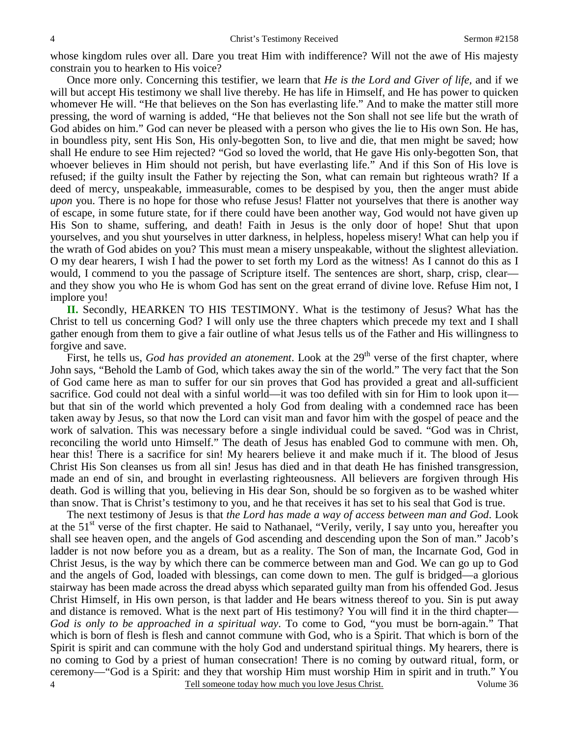whose kingdom rules over all. Dare you treat Him with indifference? Will not the awe of His majesty constrain you to hearken to His voice?

 Once more only. Concerning this testifier, we learn that *He is the Lord and Giver of life,* and if we will but accept His testimony we shall live thereby. He has life in Himself, and He has power to quicken whomever He will. "He that believes on the Son has everlasting life." And to make the matter still more pressing, the word of warning is added, "He that believes not the Son shall not see life but the wrath of God abides on him." God can never be pleased with a person who gives the lie to His own Son. He has, in boundless pity, sent His Son, His only-begotten Son, to live and die, that men might be saved; how shall He endure to see Him rejected? "God so loved the world, that He gave His only-begotten Son, that whoever believes in Him should not perish, but have everlasting life." And if this Son of His love is refused; if the guilty insult the Father by rejecting the Son, what can remain but righteous wrath? If a deed of mercy, unspeakable, immeasurable, comes to be despised by you, then the anger must abide *upon* you. There is no hope for those who refuse Jesus! Flatter not yourselves that there is another way of escape, in some future state, for if there could have been another way, God would not have given up His Son to shame, suffering, and death! Faith in Jesus is the only door of hope! Shut that upon yourselves, and you shut yourselves in utter darkness, in helpless, hopeless misery! What can help you if the wrath of God abides on you? This must mean a misery unspeakable, without the slightest alleviation. O my dear hearers, I wish I had the power to set forth my Lord as the witness! As I cannot do this as I would, I commend to you the passage of Scripture itself. The sentences are short, sharp, crisp, clear and they show you who He is whom God has sent on the great errand of divine love. Refuse Him not, I implore you!

**II.** Secondly, HEARKEN TO HIS TESTIMONY. What is the testimony of Jesus? What has the Christ to tell us concerning God? I will only use the three chapters which precede my text and I shall gather enough from them to give a fair outline of what Jesus tells us of the Father and His willingness to forgive and save.

First, he tells us, *God has provided an atonement*. Look at the 29<sup>th</sup> verse of the first chapter, where John says, "Behold the Lamb of God, which takes away the sin of the world." The very fact that the Son of God came here as man to suffer for our sin proves that God has provided a great and all-sufficient sacrifice. God could not deal with a sinful world—it was too defiled with sin for Him to look upon it but that sin of the world which prevented a holy God from dealing with a condemned race has been taken away by Jesus, so that now the Lord can visit man and favor him with the gospel of peace and the work of salvation. This was necessary before a single individual could be saved. "God was in Christ, reconciling the world unto Himself." The death of Jesus has enabled God to commune with men. Oh, hear this! There is a sacrifice for sin! My hearers believe it and make much if it. The blood of Jesus Christ His Son cleanses us from all sin! Jesus has died and in that death He has finished transgression, made an end of sin, and brought in everlasting righteousness. All believers are forgiven through His death. God is willing that you, believing in His dear Son, should be so forgiven as to be washed whiter than snow. That is Christ's testimony to you, and he that receives it has set to his seal that God is true.

 Tell someone today how much you love Jesus Christ. Volume 36 4 The next testimony of Jesus is that *the Lord has made a way of access between man and God*. Look at the 51<sup>st</sup> verse of the first chapter. He said to Nathanael, "Verily, verily, I say unto you, hereafter you shall see heaven open, and the angels of God ascending and descending upon the Son of man." Jacob's ladder is not now before you as a dream, but as a reality. The Son of man, the Incarnate God, God in Christ Jesus, is the way by which there can be commerce between man and God. We can go up to God and the angels of God, loaded with blessings, can come down to men. The gulf is bridged—a glorious stairway has been made across the dread abyss which separated guilty man from his offended God. Jesus Christ Himself, in His own person, is that ladder and He bears witness thereof to you. Sin is put away and distance is removed. What is the next part of His testimony? You will find it in the third chapter— *God is only to be approached in a spiritual way*. To come to God, "you must be born-again." That which is born of flesh is flesh and cannot commune with God, who is a Spirit. That which is born of the Spirit is spirit and can commune with the holy God and understand spiritual things. My hearers, there is no coming to God by a priest of human consecration! There is no coming by outward ritual, form, or ceremony—"God is a Spirit: and they that worship Him must worship Him in spirit and in truth." You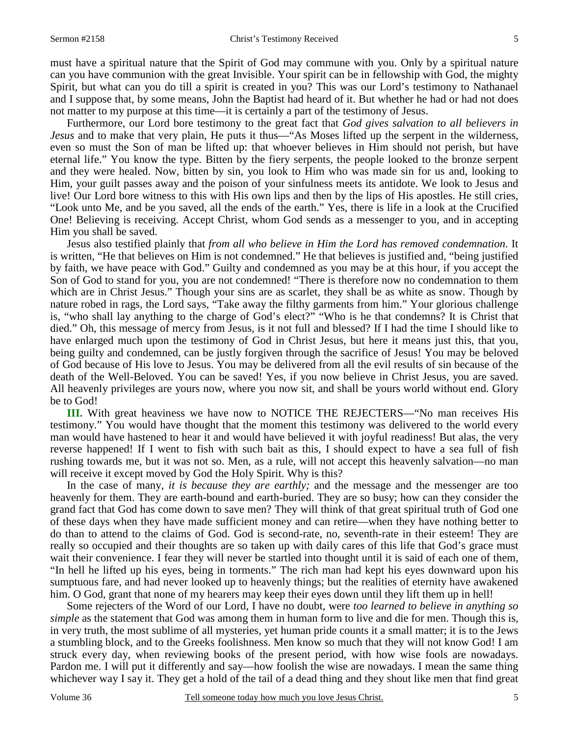must have a spiritual nature that the Spirit of God may commune with you. Only by a spiritual nature can you have communion with the great Invisible. Your spirit can be in fellowship with God, the mighty Spirit, but what can you do till a spirit is created in you? This was our Lord's testimony to Nathanael and I suppose that, by some means, John the Baptist had heard of it. But whether he had or had not does not matter to my purpose at this time—it is certainly a part of the testimony of Jesus.

 Furthermore, our Lord bore testimony to the great fact that *God gives salvation to all believers in Jesus* and to make that very plain, He puts it thus—"As Moses lifted up the serpent in the wilderness, even so must the Son of man be lifted up: that whoever believes in Him should not perish, but have eternal life." You know the type. Bitten by the fiery serpents, the people looked to the bronze serpent and they were healed. Now, bitten by sin, you look to Him who was made sin for us and, looking to Him, your guilt passes away and the poison of your sinfulness meets its antidote. We look to Jesus and live! Our Lord bore witness to this with His own lips and then by the lips of His apostles. He still cries, "Look unto Me, and be you saved, all the ends of the earth." Yes, there is life in a look at the Crucified One! Believing is receiving. Accept Christ, whom God sends as a messenger to you, and in accepting Him you shall be saved.

 Jesus also testified plainly that *from all who believe in Him the Lord has removed condemnation*. It is written, "He that believes on Him is not condemned." He that believes is justified and, "being justified by faith, we have peace with God." Guilty and condemned as you may be at this hour, if you accept the Son of God to stand for you, you are not condemned! "There is therefore now no condemnation to them which are in Christ Jesus." Though your sins are as scarlet, they shall be as white as snow. Though by nature robed in rags, the Lord says, "Take away the filthy garments from him." Your glorious challenge is, "who shall lay anything to the charge of God's elect?" "Who is he that condemns? It is Christ that died." Oh, this message of mercy from Jesus, is it not full and blessed? If I had the time I should like to have enlarged much upon the testimony of God in Christ Jesus, but here it means just this, that you, being guilty and condemned, can be justly forgiven through the sacrifice of Jesus! You may be beloved of God because of His love to Jesus. You may be delivered from all the evil results of sin because of the death of the Well-Beloved. You can be saved! Yes, if you now believe in Christ Jesus, you are saved. All heavenly privileges are yours now, where you now sit, and shall be yours world without end. Glory be to God!

 **III.** With great heaviness we have now to NOTICE THE REJECTERS—"No man receives His testimony." You would have thought that the moment this testimony was delivered to the world every man would have hastened to hear it and would have believed it with joyful readiness! But alas, the very reverse happened! If I went to fish with such bait as this, I should expect to have a sea full of fish rushing towards me, but it was not so. Men, as a rule, will not accept this heavenly salvation—no man will receive it except moved by God the Holy Spirit. Why is this?

 In the case of many, *it is because they are earthly;* and the message and the messenger are too heavenly for them. They are earth-bound and earth-buried. They are so busy; how can they consider the grand fact that God has come down to save men? They will think of that great spiritual truth of God one of these days when they have made sufficient money and can retire—when they have nothing better to do than to attend to the claims of God. God is second-rate, no, seventh-rate in their esteem! They are really so occupied and their thoughts are so taken up with daily cares of this life that God's grace must wait their convenience. I fear they will never be startled into thought until it is said of each one of them, "In hell he lifted up his eyes, being in torments." The rich man had kept his eyes downward upon his sumptuous fare, and had never looked up to heavenly things; but the realities of eternity have awakened him. O God, grant that none of my hearers may keep their eyes down until they lift them up in hell!

 Some rejecters of the Word of our Lord, I have no doubt, were *too learned to believe in anything so simple* as the statement that God was among them in human form to live and die for men. Though this is, in very truth, the most sublime of all mysteries, yet human pride counts it a small matter; it is to the Jews a stumbling block, and to the Greeks foolishness. Men know so much that they will not know God! I am struck every day, when reviewing books of the present period, with how wise fools are nowadays. Pardon me. I will put it differently and say—how foolish the wise are nowadays. I mean the same thing whichever way I say it. They get a hold of the tail of a dead thing and they shout like men that find great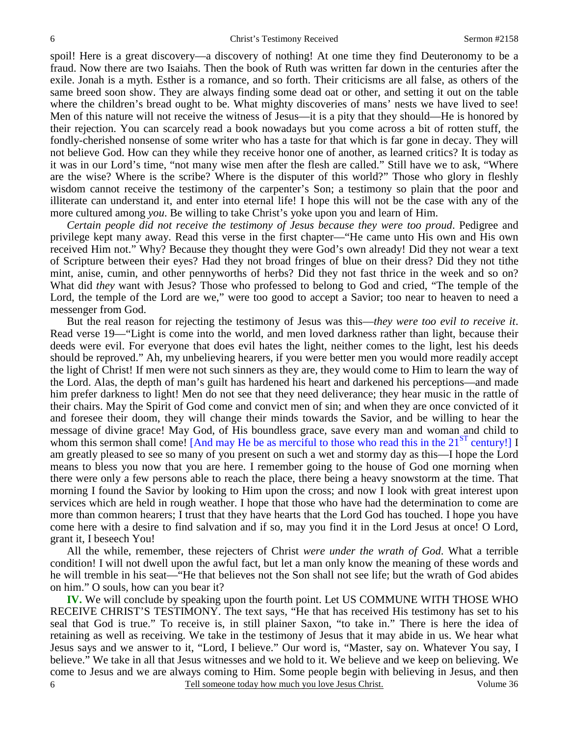spoil! Here is a great discovery—a discovery of nothing! At one time they find Deuteronomy to be a fraud. Now there are two Isaiahs. Then the book of Ruth was written far down in the centuries after the exile. Jonah is a myth. Esther is a romance, and so forth. Their criticisms are all false, as others of the same breed soon show. They are always finding some dead oat or other, and setting it out on the table where the children's bread ought to be. What mighty discoveries of mans' nests we have lived to see! Men of this nature will not receive the witness of Jesus—it is a pity that they should—He is honored by their rejection. You can scarcely read a book nowadays but you come across a bit of rotten stuff, the fondly-cherished nonsense of some writer who has a taste for that which is far gone in decay. They will not believe God. How can they while they receive honor one of another, as learned critics? It is today as it was in our Lord's time, "not many wise men after the flesh are called." Still have we to ask, "Where are the wise? Where is the scribe? Where is the disputer of this world?" Those who glory in fleshly wisdom cannot receive the testimony of the carpenter's Son; a testimony so plain that the poor and illiterate can understand it, and enter into eternal life! I hope this will not be the case with any of the more cultured among *you*. Be willing to take Christ's yoke upon you and learn of Him.

*Certain people did not receive the testimony of Jesus because they were too proud*. Pedigree and privilege kept many away. Read this verse in the first chapter—"He came unto His own and His own received Him not." Why? Because they thought they were God's own already! Did they not wear a text of Scripture between their eyes? Had they not broad fringes of blue on their dress? Did they not tithe mint, anise, cumin, and other pennyworths of herbs? Did they not fast thrice in the week and so on? What did *they* want with Jesus? Those who professed to belong to God and cried, "The temple of the Lord, the temple of the Lord are we," were too good to accept a Savior; too near to heaven to need a messenger from God.

 But the real reason for rejecting the testimony of Jesus was this—*they were too evil to receive it*. Read verse 19—"Light is come into the world, and men loved darkness rather than light, because their deeds were evil. For everyone that does evil hates the light, neither comes to the light, lest his deeds should be reproved." Ah, my unbelieving hearers, if you were better men you would more readily accept the light of Christ! If men were not such sinners as they are, they would come to Him to learn the way of the Lord. Alas, the depth of man's guilt has hardened his heart and darkened his perceptions—and made him prefer darkness to light! Men do not see that they need deliverance; they hear music in the rattle of their chairs. May the Spirit of God come and convict men of sin; and when they are once convicted of it and foresee their doom, they will change their minds towards the Savior, and be willing to hear the message of divine grace! May God, of His boundless grace, save every man and woman and child to whom this sermon shall come! [And may He be as merciful to those who read this in the  $21<sup>ST</sup>$  century!] I am greatly pleased to see so many of you present on such a wet and stormy day as this—I hope the Lord means to bless you now that you are here. I remember going to the house of God one morning when there were only a few persons able to reach the place, there being a heavy snowstorm at the time. That morning I found the Savior by looking to Him upon the cross; and now I look with great interest upon services which are held in rough weather. I hope that those who have had the determination to come are more than common hearers; I trust that they have hearts that the Lord God has touched. I hope you have come here with a desire to find salvation and if so, may you find it in the Lord Jesus at once! O Lord, grant it, I beseech You!

 All the while, remember, these rejecters of Christ *were under the wrath of God*. What a terrible condition! I will not dwell upon the awful fact, but let a man only know the meaning of these words and he will tremble in his seat—"He that believes not the Son shall not see life; but the wrath of God abides on him." O souls, how can you bear it?

 Tell someone today how much you love Jesus Christ. Volume 36 6 **IV.** We will conclude by speaking upon the fourth point. Let US COMMUNE WITH THOSE WHO RECEIVE CHRIST'S TESTIMONY. The text says, "He that has received His testimony has set to his seal that God is true." To receive is, in still plainer Saxon, "to take in." There is here the idea of retaining as well as receiving. We take in the testimony of Jesus that it may abide in us. We hear what Jesus says and we answer to it, "Lord, I believe." Our word is, "Master, say on. Whatever You say, I believe." We take in all that Jesus witnesses and we hold to it. We believe and we keep on believing. We come to Jesus and we are always coming to Him. Some people begin with believing in Jesus, and then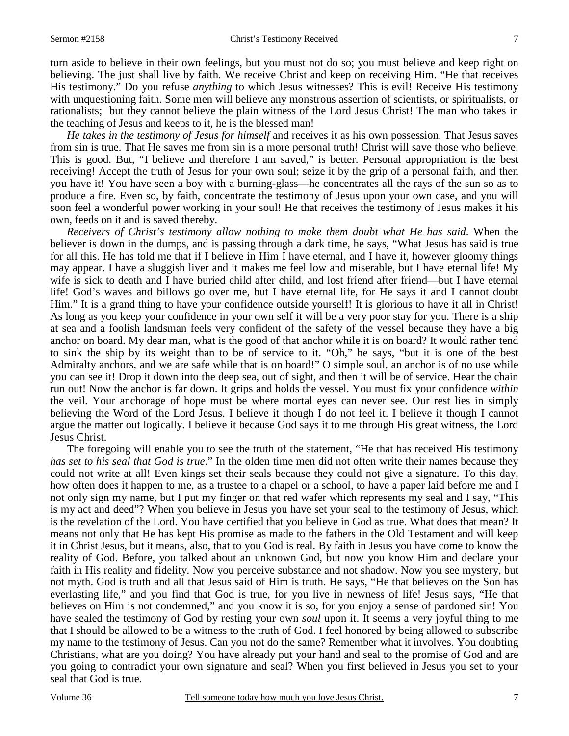turn aside to believe in their own feelings, but you must not do so; you must believe and keep right on believing. The just shall live by faith. We receive Christ and keep on receiving Him. "He that receives His testimony." Do you refuse *anything* to which Jesus witnesses? This is evil! Receive His testimony with unquestioning faith. Some men will believe any monstrous assertion of scientists, or spiritualists, or rationalists; but they cannot believe the plain witness of the Lord Jesus Christ! The man who takes in the teaching of Jesus and keeps to it, he is the blessed man!

*He takes in the testimony of Jesus for himself* and receives it as his own possession. That Jesus saves from sin is true. That He saves me from sin is a more personal truth! Christ will save those who believe. This is good. But, "I believe and therefore I am saved," is better. Personal appropriation is the best receiving! Accept the truth of Jesus for your own soul; seize it by the grip of a personal faith, and then you have it! You have seen a boy with a burning-glass—he concentrates all the rays of the sun so as to produce a fire. Even so, by faith, concentrate the testimony of Jesus upon your own case, and you will soon feel a wonderful power working in your soul! He that receives the testimony of Jesus makes it his own, feeds on it and is saved thereby.

*Receivers of Christ's testimony allow nothing to make them doubt what He has said*. When the believer is down in the dumps, and is passing through a dark time, he says, "What Jesus has said is true for all this. He has told me that if I believe in Him I have eternal, and I have it, however gloomy things may appear. I have a sluggish liver and it makes me feel low and miserable, but I have eternal life! My wife is sick to death and I have buried child after child, and lost friend after friend—but I have eternal life! God's waves and billows go over me, but I have eternal life, for He says it and I cannot doubt Him." It is a grand thing to have your confidence outside yourself! It is glorious to have it all in Christ! As long as you keep your confidence in your own self it will be a very poor stay for you. There is a ship at sea and a foolish landsman feels very confident of the safety of the vessel because they have a big anchor on board. My dear man, what is the good of that anchor while it is on board? It would rather tend to sink the ship by its weight than to be of service to it. "Oh," he says, "but it is one of the best Admiralty anchors, and we are safe while that is on board!" O simple soul, an anchor is of no use while you can see it! Drop it down into the deep sea, out of sight, and then it will be of service. Hear the chain run out! Now the anchor is far down. It grips and holds the vessel. You must fix your confidence *within* the veil. Your anchorage of hope must be where mortal eyes can never see. Our rest lies in simply believing the Word of the Lord Jesus. I believe it though I do not feel it. I believe it though I cannot argue the matter out logically. I believe it because God says it to me through His great witness, the Lord Jesus Christ.

 The foregoing will enable you to see the truth of the statement, "He that has received His testimony *has set to his seal that God is true*." In the olden time men did not often write their names because they could not write at all! Even kings set their seals because they could not give a signature. To this day, how often does it happen to me, as a trustee to a chapel or a school, to have a paper laid before me and I not only sign my name, but I put my finger on that red wafer which represents my seal and I say, "This is my act and deed"? When you believe in Jesus you have set your seal to the testimony of Jesus, which is the revelation of the Lord. You have certified that you believe in God as true. What does that mean? It means not only that He has kept His promise as made to the fathers in the Old Testament and will keep it in Christ Jesus, but it means, also, that to you God is real. By faith in Jesus you have come to know the reality of God. Before, you talked about an unknown God, but now you know Him and declare your faith in His reality and fidelity. Now you perceive substance and not shadow. Now you see mystery, but not myth. God is truth and all that Jesus said of Him is truth. He says, "He that believes on the Son has everlasting life," and you find that God is true, for you live in newness of life! Jesus says, "He that believes on Him is not condemned," and you know it is so, for you enjoy a sense of pardoned sin! You have sealed the testimony of God by resting your own *soul* upon it. It seems a very joyful thing to me that I should be allowed to be a witness to the truth of God. I feel honored by being allowed to subscribe my name to the testimony of Jesus. Can you not do the same? Remember what it involves. You doubting Christians, what are you doing? You have already put your hand and seal to the promise of God and are you going to contradict your own signature and seal? When you first believed in Jesus you set to your seal that God is true.